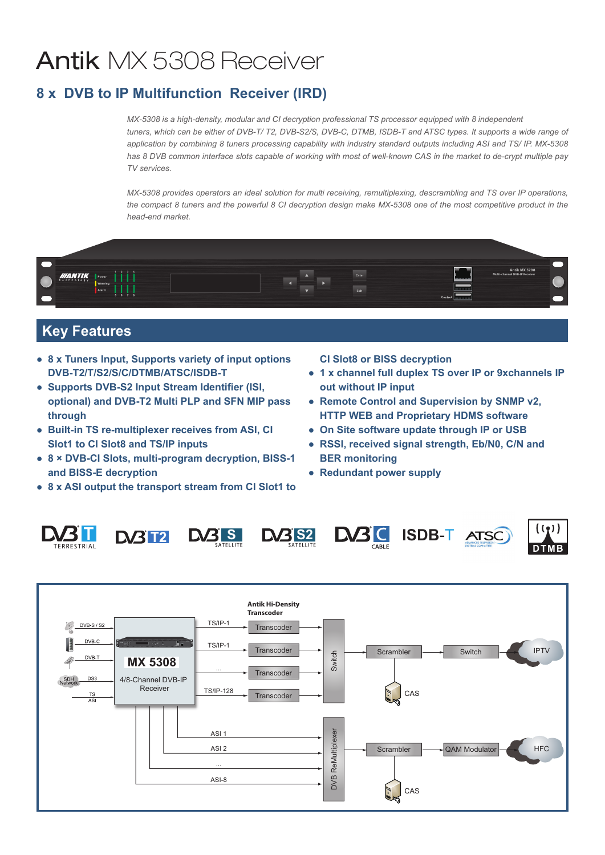# Antik MX 5308 Receiver

## **8 x DVB to IP Multifunction Receiver (IRD)**

*MX-5308 is a high-density, modular and CI decryption professional TS processor equipped with 8 independent tuners, which can be either of DVB-T/ T2, DVB-S2/S, DVB-C, DTMB, ISDB-T and ATSC types. It supports a wide range of application by combining 8 tuners processing capability with industry standard outputs including ASI and TS/ IP. MX-5308 has 8 DVB common interface slots capable of working with most of well-known CAS in the market to de-crypt multiple pay TV services.* 

*MX-5308 provides operators an ideal solution for multi receiving, remultiplexing, descrambling and TS over IP operations,* the compact 8 tuners and the powerful 8 CI decryption design make MX-5308 one of the most competitive product in the *head-end market.*



## **Key Features**

- **● 8 x Tuners Input, Supports variety of input options DVB-T2/T/S2/S/C/DTMB/ATSC/ISDB-T**
- **● Supports DVB-S2 Input Stream Identifier (ISI, optional) and DVB-T2 Multi PLP and SFN MIP pass through**
- **● Built-in TS re-multiplexer receives from ASI, CI Slot1 to CI Slot8 and TS/IP inputs**
- **● 8 × DVB-CI Slots, multi-program decryption, BISS-1 and BISS-E decryption**
- **● 8 x ASI output the transport stream from CI Slot1 to**

**CI Slot8 or BISS decryption**

- **● 1 x channel full duplex TS over IP or 9xchannels IP out without IP input**
- **● Remote Control and Supervision by SNMP v2, HTTP WEB and Proprietary HDMS software**
- **● On Site software update through IP or USB**
- **● RSSI, received signal strength, Eb/N0, C/N and BER monitoring**
- **● Redundant power supply**